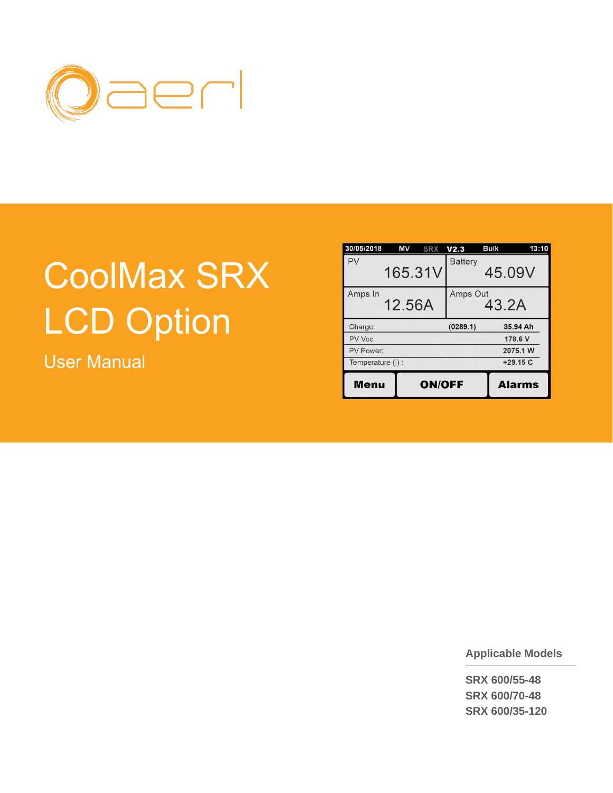

# CoolMax SRX LCD Option

User Manual

| 30/05/2018       | ΜV<br><b>SRX</b> | V <sub>2.3</sub> | <b>Bulk</b> | 13:10         |
|------------------|------------------|------------------|-------------|---------------|
| PV               | 165.31V          | <b>Battery</b>   | 45.09V      |               |
| Amps In          | 12.56A           | Amps Out         | 43.2A       |               |
| Charge:          |                  | (0289.1)         |             | 35.94 Ah      |
| PV Voc           |                  |                  |             | 178.6 V       |
| PV Power:        |                  |                  |             | 2075.1 W      |
| Temperature (I): |                  |                  |             | $+29.15C$     |
| Menu             | <b>ON/OFF</b>    |                  |             | <b>Alarms</b> |

**Applicable Models**

**SRX 600/55-48 SRX 600/70-48 SRX 600/35-120**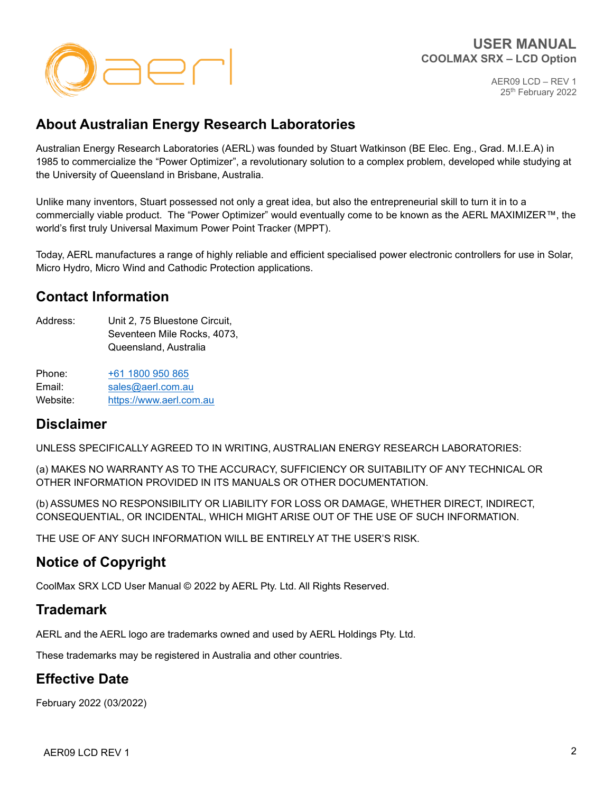

# **About Australian Energy Research Laboratories**

Australian Energy Research Laboratories (AERL) was founded by Stuart Watkinson (BE Elec. Eng., Grad. M.I.E.A) in 1985 to commercialize the "Power Optimizer", a revolutionary solution to a complex problem, developed while studying at the University of Queensland in Brisbane, Australia.

Unlike many inventors, Stuart possessed not only a great idea, but also the entrepreneurial skill to turn it in to a commercially viable product. The "Power Optimizer" would eventually come to be known as the AERL MAXIMIZER™, the world's first truly Universal Maximum Power Point Tracker (MPPT).

Today, AERL manufactures a range of highly reliable and efficient specialised power electronic controllers for use in Solar, Micro Hydro, Micro Wind and Cathodic Protection applications.

# **Contact Information**

Address: Unit 2, 75 Bluestone Circuit, Seventeen Mile Rocks, 4073, Queensland, Australia

Phone: [+61 1](tel:+610731290330)800 950 865 Email: [sales@aerl.com.au](https://www.aerl.com.au/) Website: [https://www.aerl.com.au](https://www.aerl.com.au/)

# **Disclaimer**

UNLESS SPECIFICALLY AGREED TO IN WRITING, AUSTRALIAN ENERGY RESEARCH LABORATORIES:

(a) MAKES NO WARRANTY AS TO THE ACCURACY, SUFFICIENCY OR SUITABILITY OF ANY TECHNICAL OR OTHER INFORMATION PROVIDED IN ITS MANUALS OR OTHER DOCUMENTATION.

(b) ASSUMES NO RESPONSIBILITY OR LIABILITY FOR LOSS OR DAMAGE, WHETHER DIRECT, INDIRECT, CONSEQUENTIAL, OR INCIDENTAL, WHICH MIGHT ARISE OUT OF THE USE OF SUCH INFORMATION.

THE USE OF ANY SUCH INFORMATION WILL BE ENTIRELY AT THE USER'S RISK.

# **Notice of Copyright**

CoolMax SRX LCD User Manual © 2022 by AERL Pty. Ltd. All Rights Reserved.

# **Trademark**

AERL and the AERL logo are trademarks owned and used by AERL Holdings Pty. Ltd.

These trademarks may be registered in Australia and other countries.

# **Effective Date**

February 2022 (03/2022)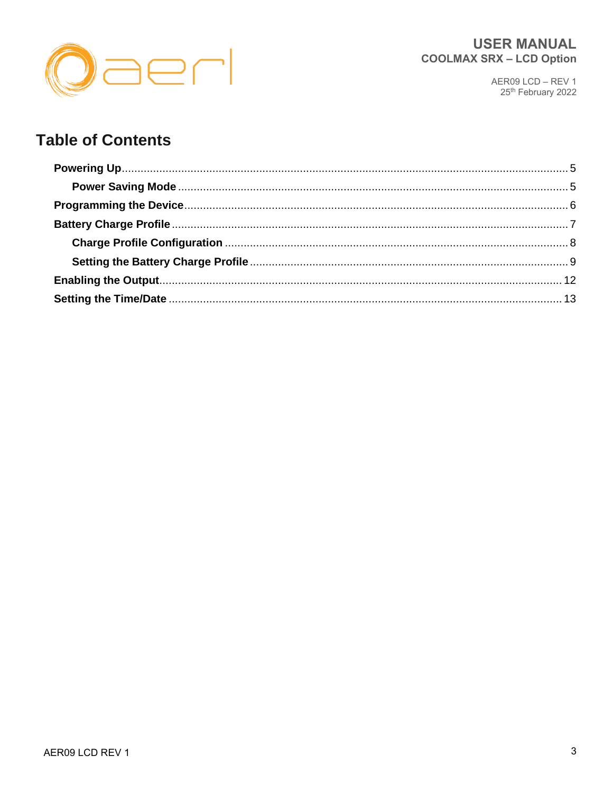

# **Table of Contents**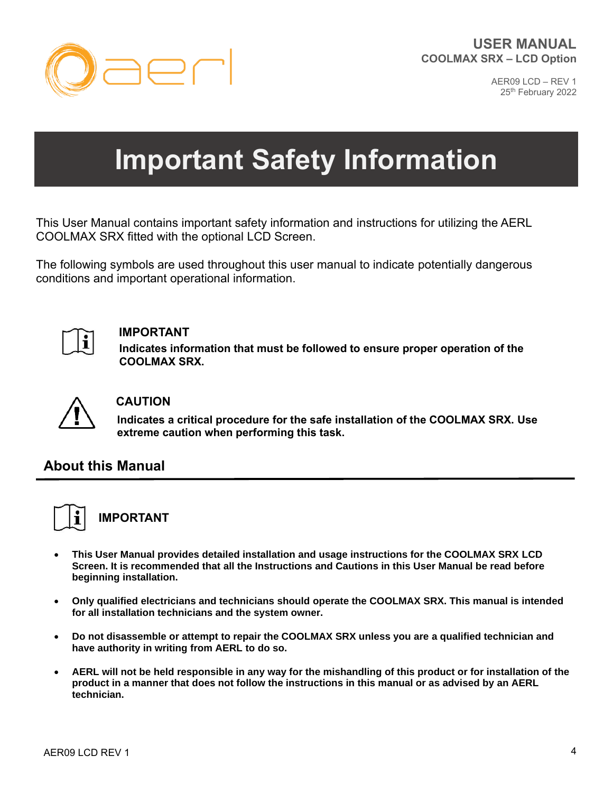

# **Important Safety Information**

This User Manual contains important safety information and instructions for utilizing the AERL COOLMAX SRX fitted with the optional LCD Screen.

The following symbols are used throughout this user manual to indicate potentially dangerous conditions and important operational information.



#### **IMPORTANT**

**Indicates information that must be followed to ensure proper operation of the COOLMAX SRX.**



#### **CAUTION**

**Indicates a critical procedure for the safe installation of the COOLMAX SRX. Use extreme caution when performing this task.** 

# **About this Manual**



# **IMPORTANT**

- **This User Manual provides detailed installation and usage instructions for the COOLMAX SRX LCD Screen. It is recommended that all the Instructions and Cautions in this User Manual be read before beginning installation.**
- **Only qualified electricians and technicians should operate the COOLMAX SRX. This manual is intended for all installation technicians and the system owner.**
- **Do not disassemble or attempt to repair the COOLMAX SRX unless you are a qualified technician and have authority in writing from AERL to do so.**
- **AERL will not be held responsible in any way for the mishandling of this product or for installation of the product in a manner that does not follow the instructions in this manual or as advised by an AERL technician.**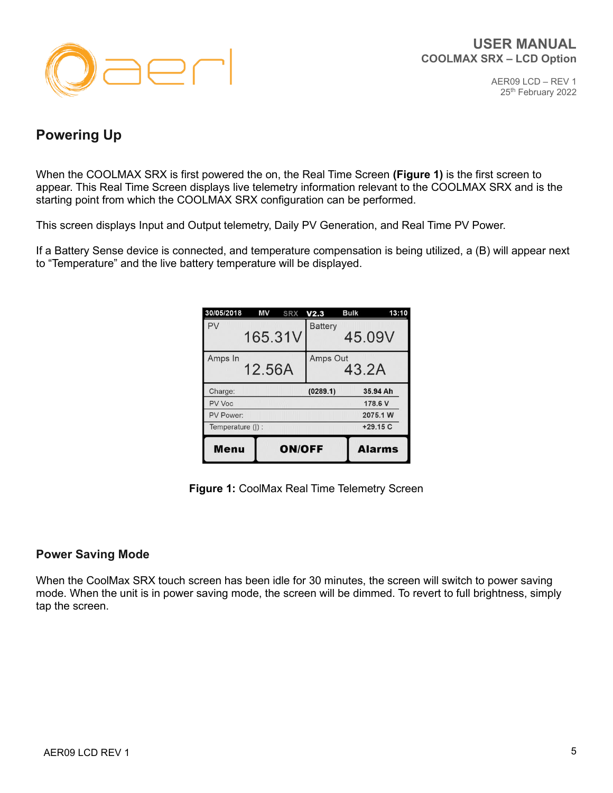

# <span id="page-4-0"></span>**Powering Up**

When the COOLMAX SRX is first powered the on, the Real Time Screen **(Figure 1)** is the first screen to appear. This Real Time Screen displays live telemetry information relevant to the COOLMAX SRX and is the starting point from which the COOLMAX SRX configuration can be performed.

This screen displays Input and Output telemetry, Daily PV Generation, and Real Time PV Power.

If a Battery Sense device is connected, and temperature compensation is being utilized, a (B) will appear next to "Temperature" and the live battery temperature will be displayed.

| 30/05/2018       | ΜV<br><b>SRX</b> | V <sub>2.3</sub> | <b>Bulk</b> | 13:10         |
|------------------|------------------|------------------|-------------|---------------|
| PV               | 165.31V          | <b>Battery</b>   | 45.09V      |               |
| Amps In          | 12.56A           | Amps Out         | 43.2A       |               |
| Charge:          |                  | (0289.1)         |             | 35.94 Ah      |
| PV Voc           |                  |                  |             | 178.6 V       |
| PV Power:        |                  |                  | 2075.1 W    |               |
| Temperature (I): |                  |                  |             | $+29.15C$     |
| Menu             | <b>ON/OFF</b>    |                  |             | <b>Alarms</b> |

**Figure 1:** CoolMax Real Time Telemetry Screen

#### <span id="page-4-1"></span>**Power Saving Mode**

When the CoolMax SRX touch screen has been idle for 30 minutes, the screen will switch to power saving mode. When the unit is in power saving mode, the screen will be dimmed. To revert to full brightness, simply tap the screen.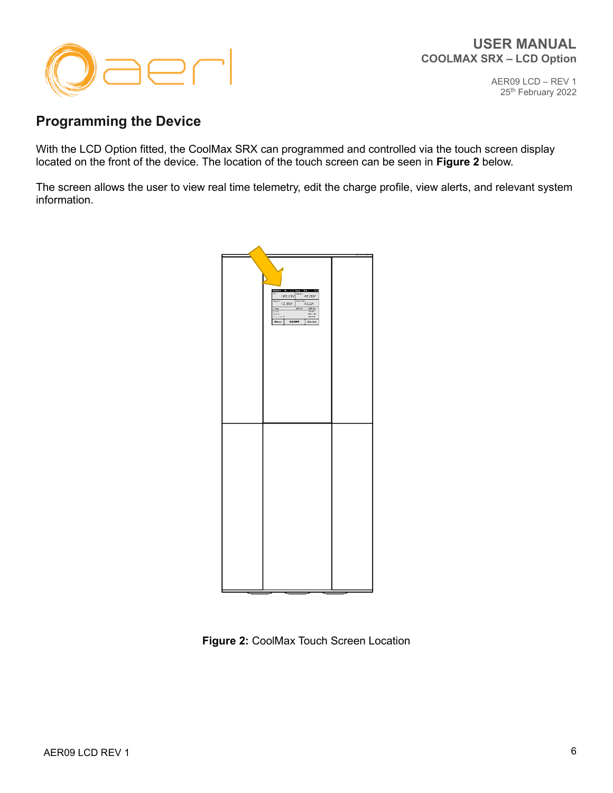

# <span id="page-5-0"></span>**Programming the Device**

With the LCD Option fitted, the CoolMax SRX can programmed and controlled via the touch screen display located on the front of the device. The location of the touch screen can be seen in **Figure 2** below.

The screen allows the user to view real time telemetry, edit the charge profile, view alerts, and relevant system information.



**Figure 2:** CoolMax Touch Screen Location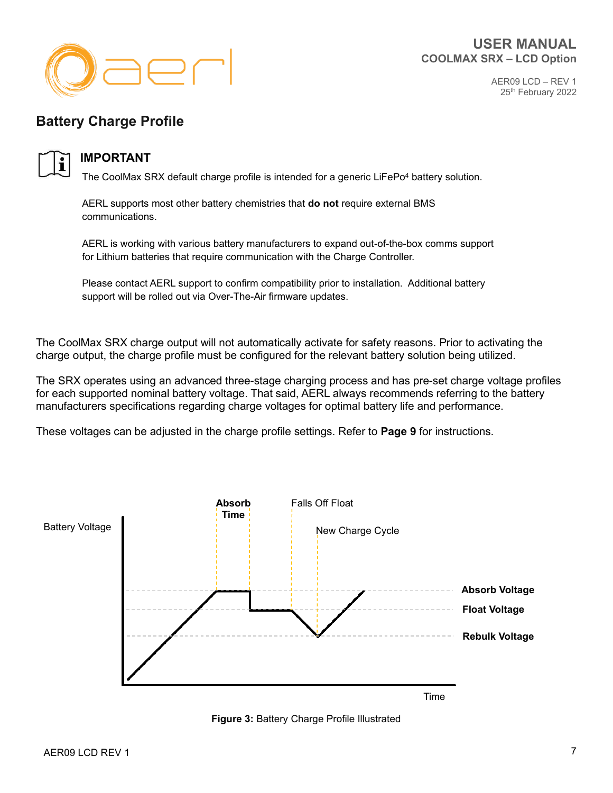

# <span id="page-6-0"></span>**Battery Charge Profile**



#### **IMPORTANT**

The CoolMax SRX default charge profile is intended for a generic LiFePo<sup>4</sup> battery solution.

AERL supports most other battery chemistries that **do not** require external BMS communications.

AERL is working with various battery manufacturers to expand out-of-the-box comms support for Lithium batteries that require communication with the Charge Controller.

Please contact AERL support to confirm compatibility prior to installation. Additional battery support will be rolled out via Over-The-Air firmware updates.

The CoolMax SRX charge output will not automatically activate for safety reasons. Prior to activating the charge output, the charge profile must be configured for the relevant battery solution being utilized.

The SRX operates using an advanced three-stage charging process and has pre-set charge voltage profiles for each supported nominal battery voltage. That said, AERL always recommends referring to the battery manufacturers specifications regarding charge voltages for optimal battery life and performance.

These voltages can be adjusted in the charge profile settings. Refer to **Page 9** for instructions.



**Figure 3:** Battery Charge Profile Illustrated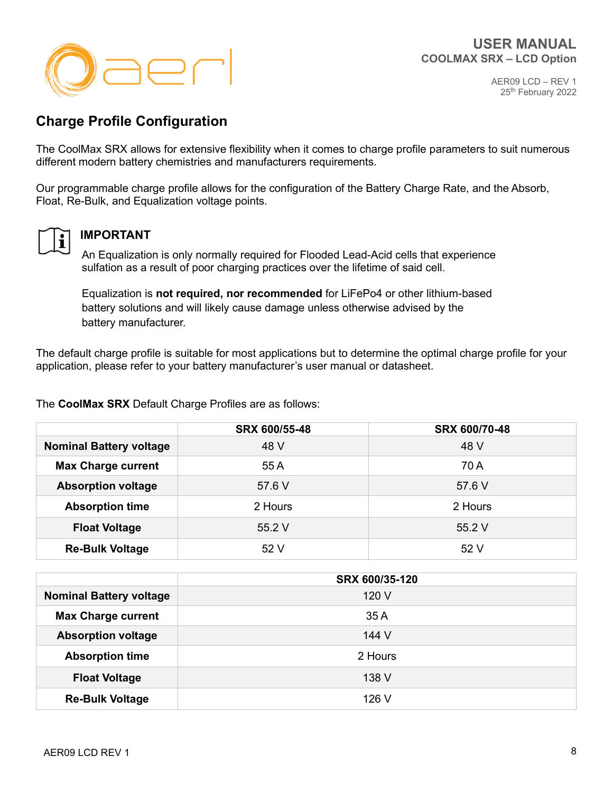



# <span id="page-7-0"></span>**Charge Profile Configuration**

The CoolMax SRX allows for extensive flexibility when it comes to charge profile parameters to suit numerous different modern battery chemistries and manufacturers requirements.

Our programmable charge profile allows for the configuration of the Battery Charge Rate, and the Absorb, Float, Re-Bulk, and Equalization voltage points.



#### **IMPORTANT**

An Equalization is only normally required for Flooded Lead-Acid cells that experience sulfation as a result of poor charging practices over the lifetime of said cell.

Equalization is **not required, nor recommended** for LiFePo4 or other lithium-based battery solutions and will likely cause damage unless otherwise advised by the battery manufacturer.

The default charge profile is suitable for most applications but to determine the optimal charge profile for your application, please refer to your battery manufacturer's user manual or datasheet.

The **CoolMax SRX** Default Charge Profiles are as follows:

|                                        | SRX 600/55-48 | SRX 600/70-48 |
|----------------------------------------|---------------|---------------|
| 48 V<br><b>Nominal Battery voltage</b> |               | 48 V          |
| <b>Max Charge current</b>              | 55 A          | 70 A          |
| <b>Absorption voltage</b>              | 57.6 V        | 57.6 V        |
| <b>Absorption time</b>                 | 2 Hours       | 2 Hours       |
| <b>Float Voltage</b>                   | 55.2 V        | 55.2 V        |
| <b>Re-Bulk Voltage</b>                 | 52 V          | 52 V          |

|                                | SRX 600/35-120 |
|--------------------------------|----------------|
| <b>Nominal Battery voltage</b> | 120 V          |
| <b>Max Charge current</b>      | 35 A           |
| <b>Absorption voltage</b>      | 144 V          |
| <b>Absorption time</b>         | 2 Hours        |
| <b>Float Voltage</b>           | 138 V          |
| <b>Re-Bulk Voltage</b>         | 126 V          |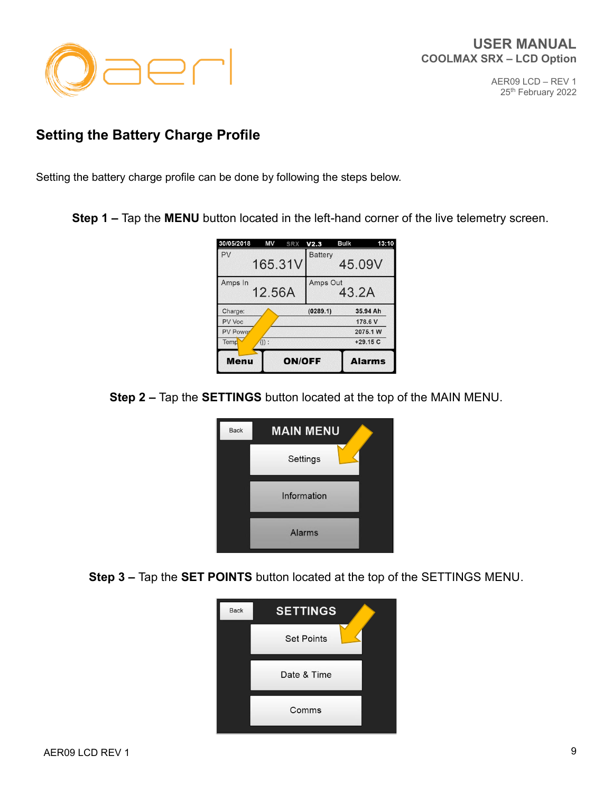

# <span id="page-8-0"></span>**Setting the Battery Charge Profile**

Setting the battery charge profile can be done by following the steps below.

**Step 1 –** Tap the **MENU** button located in the left-hand corner of the live telemetry screen.

| 30/05/2018      | ΜV<br><b>SRX</b> | V2.3           | Bulk              | 13:10         |
|-----------------|------------------|----------------|-------------------|---------------|
| PV              | 165.31V          | <b>Battery</b> |                   | 45.09V        |
| Amps In         | 12.56A           |                | Amps Out<br>43.2A |               |
| Charge:         |                  | (0289.1)       |                   | 35.94 Ah      |
| PV Voc          |                  |                |                   | 178.6 V       |
| <b>PV Power</b> |                  |                |                   | 2075.1 W      |
| Temp            | $($   $)$ :      |                |                   | $+29.15C$     |
| <b>Menu</b>     |                  | <b>ON/OFF</b>  |                   | <b>Alarms</b> |

**Step 2 –** Tap the **SETTINGS** button located at the top of the MAIN MENU.



**Step 3 –** Tap the **SET POINTS** button located at the top of the SETTINGS MENU.

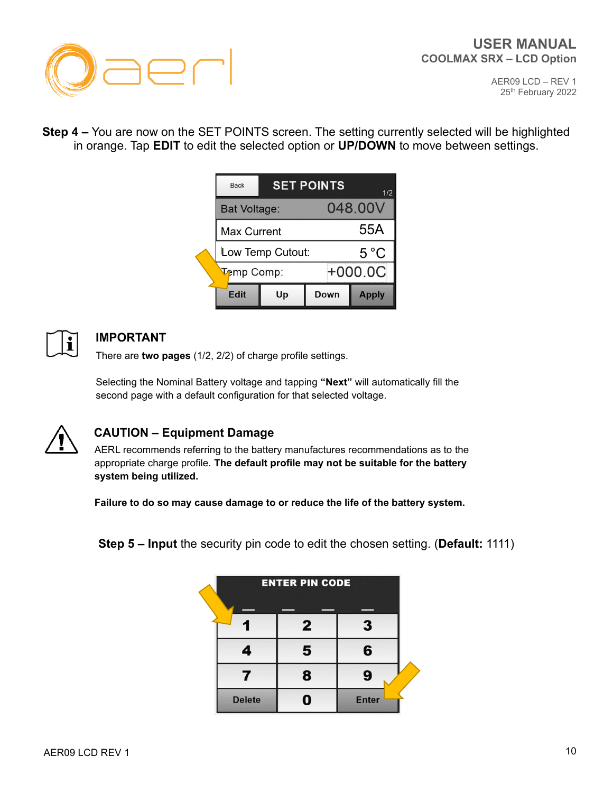

**Step 4 –** You are now on the SET POINTS screen. The setting currently selected will be highlighted in orange. Tap **EDIT** to edit the selected option or **UP/DOWN** to move between settings.

| <b>Back</b>        | <b>SET POINTS</b><br>1/2 |      |               |
|--------------------|--------------------------|------|---------------|
| Bat Voltage:       |                          |      | 048.00V       |
| <b>Max Current</b> |                          |      | 55A           |
| Low Temp Cutout:   |                          |      | $5^{\circ}$ C |
| <b>Temp Comp:</b>  |                          |      | $+000.0C$     |
| Edit               | Up                       | Down | <b>Apply</b>  |



# **IMPORTANT**

There are **two pages** (1/2, 2/2) of charge profile settings.

Selecting the Nominal Battery voltage and tapping **"Next"** will automatically fill the second page with a default configuration for that selected voltage.



# **CAUTION – Equipment Damage**

AERL recommends referring to the battery manufactures recommendations as to the appropriate charge profile. **The default profile may not be suitable for the battery system being utilized.**

**Failure to do so may cause damage to or reduce the life of the battery system.**

**Step 5 – Input** the security pin code to edit the chosen setting. (**Default:** 1111)

| <b>ENTER PIN CODE</b> |              |              |  |  |
|-----------------------|--------------|--------------|--|--|
|                       |              |              |  |  |
|                       | $\mathbf{2}$ | 3            |  |  |
|                       | 5            | 6            |  |  |
|                       | 8            | 9            |  |  |
| <b>Delete</b>         |              | <b>Enter</b> |  |  |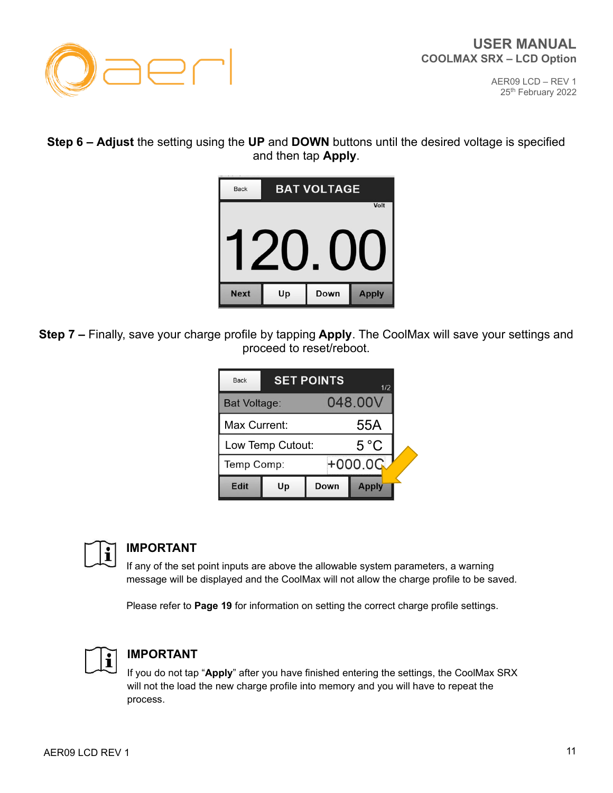

#### **Step 6 – Adjust** the setting using the **UP** and **DOWN** buttons until the desired voltage is specified and then tap **Apply**.



**Step 7 –** Finally, save your charge profile by tapping **Apply**. The CoolMax will save your settings and proceed to reset/reboot.

| <b>Back</b>             | <b>SET POINTS</b><br>1/2       |      |              |  |
|-------------------------|--------------------------------|------|--------------|--|
|                         | 048,00V<br><b>Bat Voltage:</b> |      |              |  |
|                         | Max Current:                   |      |              |  |
|                         | Low Temp Cutout:               |      |              |  |
| $+000.00$<br>Temp Comp: |                                |      |              |  |
| Edit                    | Up                             | Down | <b>Apply</b> |  |



#### **IMPORTANT**

If any of the set point inputs are above the allowable system parameters, a warning message will be displayed and the CoolMax will not allow the charge profile to be saved.

Please refer to **Page 19** for information on setting the correct charge profile settings.



#### **IMPORTANT**

If you do not tap "**Apply**" after you have finished entering the settings, the CoolMax SRX will not the load the new charge profile into memory and you will have to repeat the process.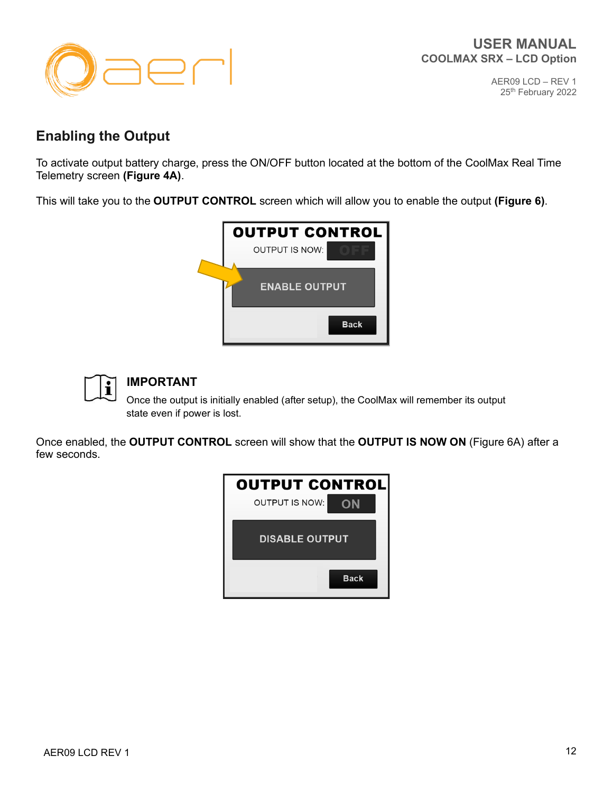

# <span id="page-11-0"></span>**Enabling the Output**

To activate output battery charge, press the ON/OFF button located at the bottom of the CoolMax Real Time Telemetry screen **(Figure 4A)**.

This will take you to the **OUTPUT CONTROL** screen which will allow you to enable the output **(Figure 6)**.





# **IMPORTANT**

Once the output is initially enabled (after setup), the CoolMax will remember its output state even if power is lost.

Once enabled, the **OUTPUT CONTROL** screen will show that the **OUTPUT IS NOW ON** (Figure 6A) after a few seconds.

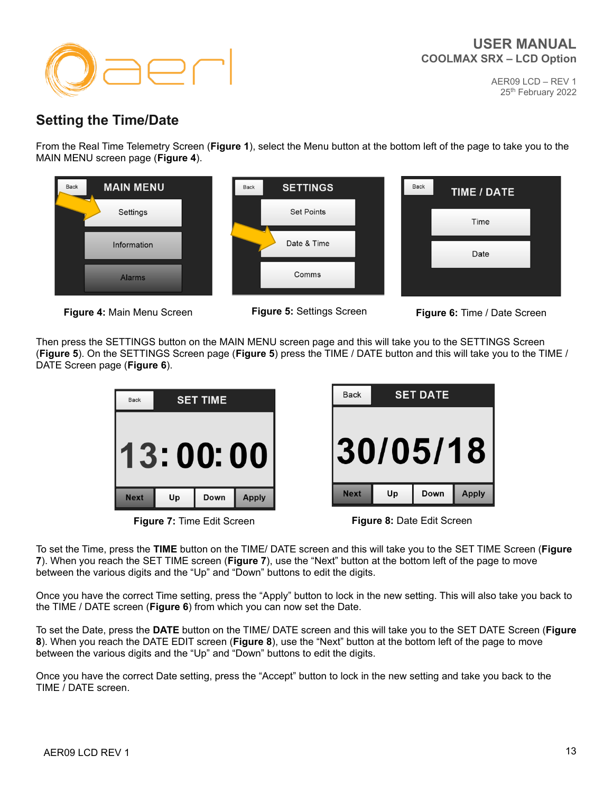



# <span id="page-12-0"></span>**Setting the Time/Date**

From the Real Time Telemetry Screen (**Figure 1**), select the Menu button at the bottom left of the page to take you to the MAIN MENU screen page (**Figure 4**).





Then press the SETTINGS button on the MAIN MENU screen page and this will take you to the SETTINGS Screen (**Figure 5**). On the SETTINGS Screen page (**Figure 5**) press the TIME / DATE button and this will take you to the TIME / DATE Screen page (**Figure 6**).



**Figure 7:** Time Edit Screen **Figure 8:** Date Edit Screen

| <b>Back</b> | <b>SET DATE</b> |      |              |  |
|-------------|-----------------|------|--------------|--|
| 30/05/18    |                 |      |              |  |
| <b>Next</b> |                 | Down | <b>Apply</b> |  |

To set the Time, press the **TIME** button on the TIME/ DATE screen and this will take you to the SET TIME Screen (**Figure 7**). When you reach the SET TIME screen (**Figure 7**), use the "Next" button at the bottom left of the page to move between the various digits and the "Up" and "Down" buttons to edit the digits.

Once you have the correct Time setting, press the "Apply" button to lock in the new setting. This will also take you back to the TIME / DATE screen (**Figure 6**) from which you can now set the Date.

To set the Date, press the **DATE** button on the TIME/ DATE screen and this will take you to the SET DATE Screen (**Figure 8**). When you reach the DATE EDIT screen (**Figure 8**), use the "Next" button at the bottom left of the page to move between the various digits and the "Up" and "Down" buttons to edit the digits.

Once you have the correct Date setting, press the "Accept" button to lock in the new setting and take you back to the TIME / DATE screen.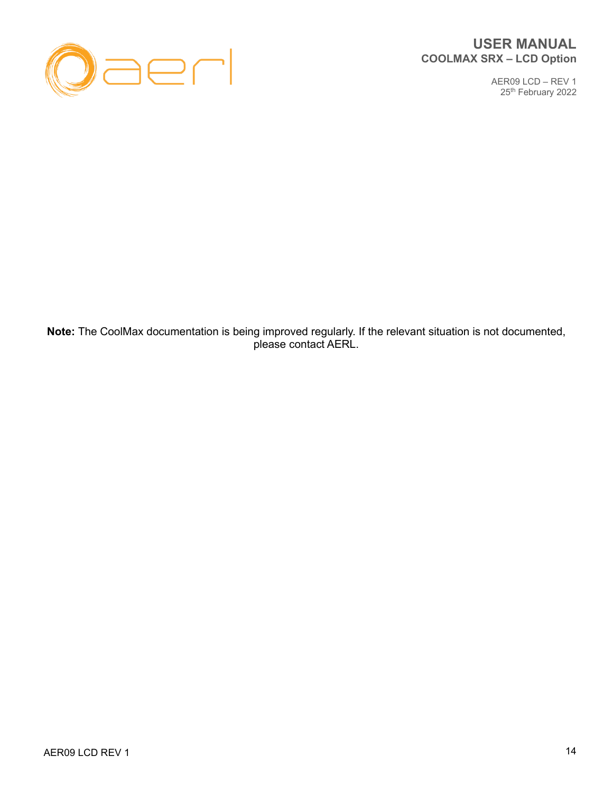

#### **USER MANUAL COOLMAX SRX – LCD Option**

AER09 LCD – REV 1 25<sup>th</sup> February 2022

**Note:** The CoolMax documentation is being improved regularly. If the relevant situation is not documented, please contact AERL.